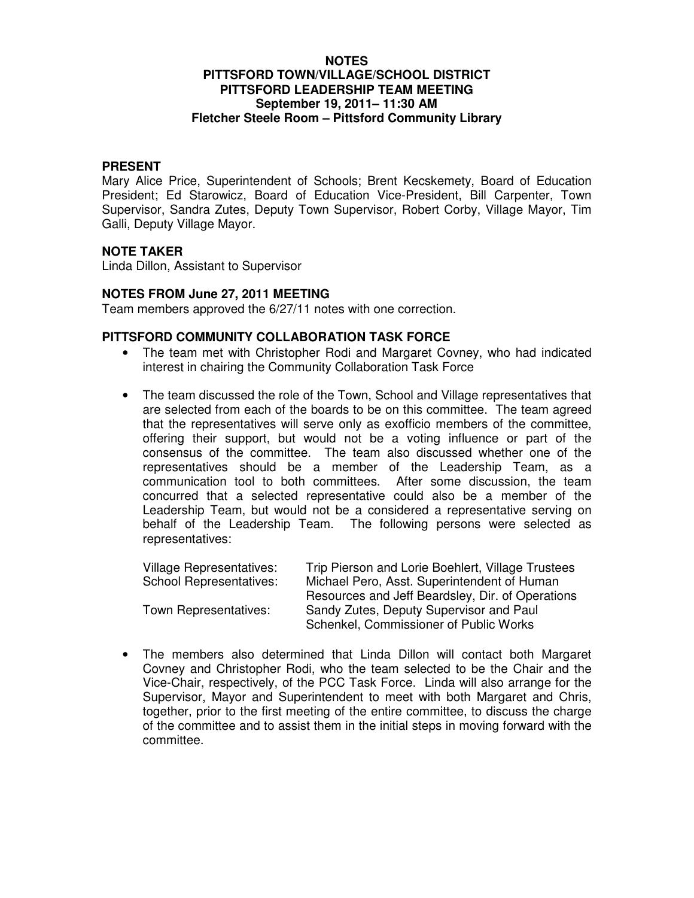## **NOTES PITTSFORD TOWN/VILLAGE/SCHOOL DISTRICT PITTSFORD LEADERSHIP TEAM MEETING September 19, 2011– 11:30 AM Fletcher Steele Room – Pittsford Community Library**

### **PRESENT**

Mary Alice Price, Superintendent of Schools; Brent Kecskemety, Board of Education President; Ed Starowicz, Board of Education Vice-President, Bill Carpenter, Town Supervisor, Sandra Zutes, Deputy Town Supervisor, Robert Corby, Village Mayor, Tim Galli, Deputy Village Mayor.

## **NOTE TAKER**

Linda Dillon, Assistant to Supervisor

### **NOTES FROM June 27, 2011 MEETING**

Team members approved the 6/27/11 notes with one correction.

# **PITTSFORD COMMUNITY COLLABORATION TASK FORCE**

- The team met with Christopher Rodi and Margaret Covney, who had indicated interest in chairing the Community Collaboration Task Force
- The team discussed the role of the Town, School and Village representatives that are selected from each of the boards to be on this committee. The team agreed that the representatives will serve only as exofficio members of the committee, offering their support, but would not be a voting influence or part of the consensus of the committee. The team also discussed whether one of the representatives should be a member of the Leadership Team, as a communication tool to both committees. After some discussion, the team concurred that a selected representative could also be a member of the Leadership Team, but would not be a considered a representative serving on behalf of the Leadership Team. The following persons were selected as representatives:

| Village Representatives:       | Trip Pierson and Lorie Boehlert, Village Trustees |
|--------------------------------|---------------------------------------------------|
| <b>School Representatives:</b> | Michael Pero, Asst. Superintendent of Human       |
|                                | Resources and Jeff Beardsley, Dir. of Operations  |
| Town Representatives:          | Sandy Zutes, Deputy Supervisor and Paul           |
|                                | Schenkel, Commissioner of Public Works            |

• The members also determined that Linda Dillon will contact both Margaret Covney and Christopher Rodi, who the team selected to be the Chair and the Vice-Chair, respectively, of the PCC Task Force. Linda will also arrange for the Supervisor, Mayor and Superintendent to meet with both Margaret and Chris, together, prior to the first meeting of the entire committee, to discuss the charge of the committee and to assist them in the initial steps in moving forward with the committee.